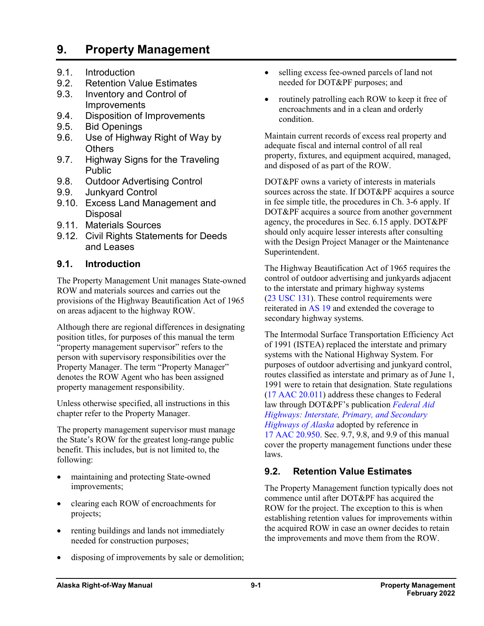# **9. Property Management**

- 9.1. Introduction
- 9.2. Retention Value Estimates
- 9.3. Inventory and Control of **Improvements**
- 9.4. Disposition of Improvements
- 9.5. Bid Openings
- 9.6. Use of Highway Right of Way by **Others**
- 9.7. Highway Signs for the Traveling Public
- 9.8. Outdoor Advertising Control
- 9.9. Junkyard Control
- 9.10. Excess Land Management and Disposal
- 9.11. Materials Sources
- 9.12. Civil Rights Statements for Deeds and Leases

### **9.1. Introduction**

The Property Management Unit manages State-owned ROW and materials sources and carries out the provisions of the Highway Beautification Act of 1965 on areas adjacent to the highway ROW.

Although there are regional differences in designating position titles, for purposes of this manual the term "property management supervisor" refers to the person with supervisory responsibilities over the Property Manager. The term "Property Manager" denotes the ROW Agent who has been assigned property management responsibility.

Unless otherwise specified, all instructions in this chapter refer to the Property Manager.

The property management supervisor must manage the State's ROW for the greatest long-range public benefit. This includes, but is not limited to, the following:

- maintaining and protecting State-owned improvements;
- clearing each ROW of encroachments for projects;
- renting buildings and lands not immediately needed for construction purposes;
- disposing of improvements by sale or demolition;
- selling excess fee-owned parcels of land not needed for DOT&PF purposes; and
- routinely patrolling each ROW to keep it free of encroachments and in a clean and orderly condition.

Maintain current records of excess real property and adequate fiscal and internal control of all real property, fixtures, and equipment acquired, managed, and disposed of as part of the ROW.

DOT&PF owns a variety of interests in materials sources across the state. If DOT&PF acquires a source in fee simple title, the procedures in Ch. 3-6 apply. If DOT&PF acquires a source from another government agency, the procedures in Sec. 6.15 apply. DOT&PF should only acquire lesser interests after consulting with the Design Project Manager or the Maintenance Superintendent.

The Highway Beautification Act of 1965 requires the control of outdoor advertising and junkyards adjacent to the interstate and primary highway systems (23 [USC](http://uscode.house.gov/view.xhtml?req=granuleid:USC-prelim-title23-section131&num=0&edition=prelim) 131). These control requirements were reiterated in [AS](http://www.akleg.gov/basis/statutes.asp#19) 19 and extended the coverage to secondary highway systems.

The Intermodal Surface Transportation Efficiency Act of 1991 (ISTEA) replaced the interstate and primary systems with the National Highway System. For purposes of outdoor advertising and junkyard control, routes classified as interstate and primary as of June 1, 1991 were to retain that designation. State regulations (17 AAC [20.011\)](http://www.akleg.gov/basis/aac.asp#17.20.011) address these changes to Federal law through DOT&PF's publication *[Federal Aid](http://www.dot.state.ak.us/stwddes/dcsrow/assets/pdf/fedaidhwys/fhwa_alaska_highway_inventory_2000.pdf)  [Highways: Interstate, Primary, and Secondary](http://www.dot.state.ak.us/stwddes/dcsrow/assets/pdf/fedaidhwys/fhwa_alaska_highway_inventory_2000.pdf)  [Highways of Alaska](http://www.dot.state.ak.us/stwddes/dcsrow/assets/pdf/fedaidhwys/fhwa_alaska_highway_inventory_2000.pdf)* adopted by reference in 17 AAC [20.950.](http://www.akleg.gov/basis/aac.asp#17.20.950) Sec. 9.7, 9.8, and 9.9 of this manual cover the property management functions under these laws.

## **9.2. Retention Value Estimates**

The Property Management function typically does not commence until after DOT&PF has acquired the ROW for the project. The exception to this is when establishing retention values for improvements within the acquired ROW in case an owner decides to retain the improvements and move them from the ROW.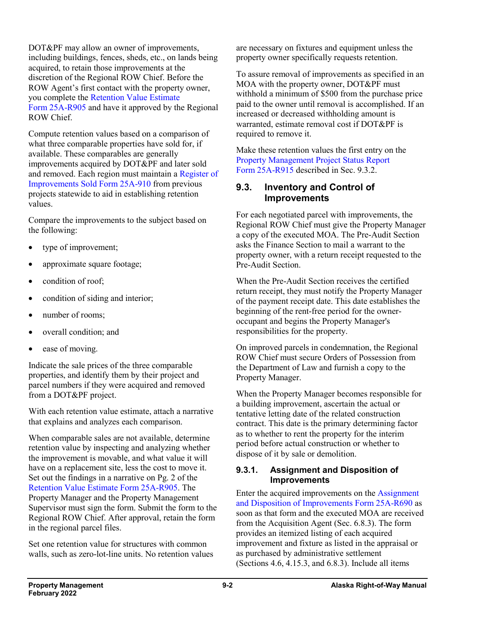DOT&PF may allow an owner of improvements, including buildings, fences, sheds, etc., on lands being acquired, to retain those improvements at the discretion of the Regional ROW Chief. Before the ROW Agent's first contact with the property owner, you complete the [Retention Value Estimate](http://www.dot.state.ak.us/stwddes/dcsrow/assets/pdf/forms/25ar905.pdf)  Form [25A-R905](http://www.dot.state.ak.us/stwddes/dcsrow/assets/pdf/forms/25ar905.pdf) and have it approved by the Regional ROW Chief.

Compute retention values based on a comparison of what three comparable properties have sold for, if available. These comparables are generally improvements acquired by DOT&PF and later sold and removed. Each region must maintain a [Register of](http://www.dot.state.ak.us/stwddes/dcsrow/assets/pdf/forms/25ar910.pdf)  [Improvements Sold Form](http://www.dot.state.ak.us/stwddes/dcsrow/assets/pdf/forms/25ar910.pdf) 25A-910 from previous projects statewide to aid in establishing retention values.

Compare the improvements to the subject based on the following:

- type of improvement;
- approximate square footage;
- condition of roof:
- condition of siding and interior;
- number of rooms:
- overall condition; and
- ease of moving.

Indicate the sale prices of the three comparable properties, and identify them by their project and parcel numbers if they were acquired and removed from a DOT&PF project.

With each retention value estimate, attach a narrative that explains and analyzes each comparison.

When comparable sales are not available, determine retention value by inspecting and analyzing whether the improvement is movable, and what value it will have on a replacement site, less the cost to move it. Set out the findings in a narrative on Pg. 2 of the [Retention Value Estimate Form](http://www.dot.state.ak.us/stwddes/dcsrow/assets/pdf/forms/25ar905.pdf) 25A-R905. The Property Manager and the Property Management Supervisor must sign the form. Submit the form to the Regional ROW Chief. After approval, retain the form in the regional parcel files.

Set one retention value for structures with common walls, such as zero-lot-line units. No retention values are necessary on fixtures and equipment unless the property owner specifically requests retention.

To assure removal of improvements as specified in an MOA with the property owner, DOT&PF must withhold a minimum of \$500 from the purchase price paid to the owner until removal is accomplished. If an increased or decreased withholding amount is warranted, estimate removal cost if DOT&PF is required to remove it.

Make these retention values the first entry on the [Property Management Project Status Report](http://www.dot.state.ak.us/stwddes/dcsrow/assets/pdf/forms/25ar915.pdf) Form [25A-R915](http://www.dot.state.ak.us/stwddes/dcsrow/assets/pdf/forms/25ar915.pdf) described in Sec. 9.3.2.

### **9.3. Inventory and Control of Improvements**

For each negotiated parcel with improvements, the Regional ROW Chief must give the Property Manager a copy of the executed MOA. The Pre-Audit Section asks the Finance Section to mail a warrant to the property owner, with a return receipt requested to the Pre-Audit Section.

When the Pre-Audit Section receives the certified return receipt, they must notify the Property Manager of the payment receipt date. This date establishes the beginning of the rent-free period for the owneroccupant and begins the Property Manager's responsibilities for the property.

On improved parcels in condemnation, the Regional ROW Chief must secure Orders of Possession from the Department of Law and furnish a copy to the Property Manager.

When the Property Manager becomes responsible for a building improvement, ascertain the actual or tentative letting date of the related construction contract. This date is the primary determining factor as to whether to rent the property for the interim period before actual construction or whether to dispose of it by sale or demolition.

### **9.3.1. Assignment and Disposition of Improvements**

Enter the acquired improvements on the [Assignment](http://www.dot.state.ak.us/stwddes/dcsrow/assets/pdf/forms/25ar690.pdf)  [and Disposition of Improvements Form](http://www.dot.state.ak.us/stwddes/dcsrow/assets/pdf/forms/25ar690.pdf) 25A-R690 as soon as that form and the executed MOA are received from the Acquisition Agent (Sec. 6.8.3). The form provides an itemized listing of each acquired improvement and fixture as listed in the appraisal or as purchased by administrative settlement (Sections 4.6, 4.15.3, and 6.8.3). Include all items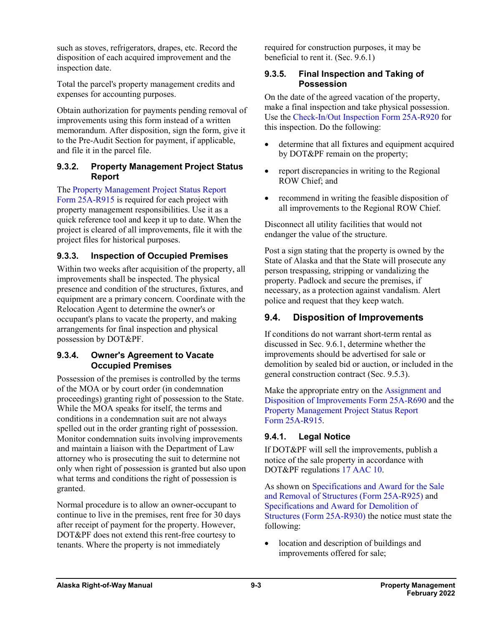such as stoves, refrigerators, drapes, etc. Record the disposition of each acquired improvement and the inspection date.

Total the parcel's property management credits and expenses for accounting purposes.

Obtain authorization for payments pending removal of improvements using this form instead of a written memorandum. After disposition, sign the form, give it to the Pre-Audit Section for payment, if applicable, and file it in the parcel file.

#### **9.3.2. Property Management Project Status Report**

The [Property Management Project Status Report](http://www.dot.state.ak.us/stwddes/dcsrow/assets/pdf/forms/25ar915.pdf)  Form [25A-R915](http://www.dot.state.ak.us/stwddes/dcsrow/assets/pdf/forms/25ar915.pdf) is required for each project with property management responsibilities. Use it as a quick reference tool and keep it up to date. When the project is cleared of all improvements, file it with the project files for historical purposes.

### **9.3.3. Inspection of Occupied Premises**

Within two weeks after acquisition of the property, all improvements shall be inspected. The physical presence and condition of the structures, fixtures, and equipment are a primary concern. Coordinate with the Relocation Agent to determine the owner's or occupant's plans to vacate the property, and making arrangements for final inspection and physical possession by DOT&PF.

#### **9.3.4. Owner's Agreement to Vacate Occupied Premises**

Possession of the premises is controlled by the terms of the MOA or by court order (in condemnation proceedings) granting right of possession to the State. While the MOA speaks for itself, the terms and conditions in a condemnation suit are not always spelled out in the order granting right of possession. Monitor condemnation suits involving improvements and maintain a liaison with the Department of Law attorney who is prosecuting the suit to determine not only when right of possession is granted but also upon what terms and conditions the right of possession is granted.

Normal procedure is to allow an owner-occupant to continue to live in the premises, rent free for 30 days after receipt of payment for the property. However, DOT&PF does not extend this rent-free courtesy to tenants. Where the property is not immediately

required for construction purposes, it may be beneficial to rent it. (Sec. 9.6.1)

#### **9.3.5. Final Inspection and Taking of Possession**

On the date of the agreed vacation of the property, make a final inspection and take physical possession. Use the [Check-In/Out Inspection Form](http://www.dot.state.ak.us/stwddes/dcsrow/assets/pdf/forms/25ar920.pdf) 25A-R920 for this inspection. Do the following:

- determine that all fixtures and equipment acquired by DOT&PF remain on the property;
- report discrepancies in writing to the Regional ROW Chief; and
- recommend in writing the feasible disposition of all improvements to the Regional ROW Chief.

Disconnect all utility facilities that would not endanger the value of the structure.

Post a sign stating that the property is owned by the State of Alaska and that the State will prosecute any person trespassing, stripping or vandalizing the property. Padlock and secure the premises, if necessary, as a protection against vandalism. Alert police and request that they keep watch.

## **9.4. Disposition of Improvements**

If conditions do not warrant short-term rental as discussed in Sec. 9.6.1, determine whether the improvements should be advertised for sale or demolition by sealed bid or auction, or included in the general construction contract (Sec. 9.5.3).

Make the appropriate entry on the [Assignment and](http://www.dot.state.ak.us/stwddes/dcsrow/assets/pdf/forms/25ar690.pdf)  [Disposition of Improvements](http://www.dot.state.ak.us/stwddes/dcsrow/assets/pdf/forms/25ar690.pdf) Form 25A-R690 and the [Property Management Project Status Report](http://www.dot.state.ak.us/stwddes/dcsrow/assets/pdf/forms/25ar915.pdf)  Form [25A-R915.](http://www.dot.state.ak.us/stwddes/dcsrow/assets/pdf/forms/25ar915.pdf)

### **9.4.1. Legal Notice**

If DOT&PF will sell the improvements, publish a notice of the sale property in accordance with DOT&PF regulations 17 [AAC](http://www.akleg.gov/basis/aac.asp#17.10) 10.

As shown on [Specifications and Award for the Sale](http://www.dot.state.ak.us/stwddes/dcsrow/assets/pdf/forms/25ar925.pdf)  [and Removal of Structures \(Form](http://www.dot.state.ak.us/stwddes/dcsrow/assets/pdf/forms/25ar925.pdf) 25A-R925) and [Specifications and Award for Demolition of](http://www.dot.state.ak.us/stwddes/dcsrow/assets/pdf/forms/25ar930.pdf)  [Structures \(Form](http://www.dot.state.ak.us/stwddes/dcsrow/assets/pdf/forms/25ar930.pdf) 25A-R930) the notice must state the following:

• location and description of buildings and improvements offered for sale;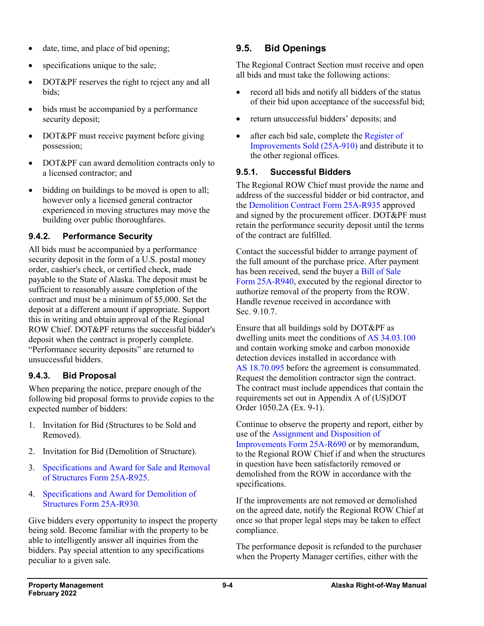- date, time, and place of bid opening;
- specifications unique to the sale;
- DOT&PF reserves the right to reject any and all bids;
- bids must be accompanied by a performance security deposit;
- DOT&PF must receive payment before giving possession;
- DOT&PF can award demolition contracts only to a licensed contractor; and
- bidding on buildings to be moved is open to all; however only a licensed general contractor experienced in moving structures may move the building over public thoroughfares.

## **9.4.2. Performance Security**

All bids must be accompanied by a performance security deposit in the form of a U.S. postal money order, cashier's check, or certified check, made payable to the State of Alaska. The deposit must be sufficient to reasonably assure completion of the contract and must be a minimum of \$5,000. Set the deposit at a different amount if appropriate. Support this in writing and obtain approval of the Regional ROW Chief. DOT&PF returns the successful bidder's deposit when the contract is properly complete. "Performance security deposits" are returned to unsuccessful bidders.

### **9.4.3. Bid Proposal**

When preparing the notice, prepare enough of the following bid proposal forms to provide copies to the expected number of bidders:

- 1. Invitation for Bid (Structures to be Sold and Removed).
- 2. Invitation for Bid (Demolition of Structure).
- 3. [Specifications and Award for Sale and Removal](http://www.dot.state.ak.us/stwddes/dcsrow/assets/pdf/forms/25ar925.pdf)  [of Structures Form](http://www.dot.state.ak.us/stwddes/dcsrow/assets/pdf/forms/25ar925.pdf) 25A-R925.
- 4. [Specifications and Award for Demolition of](http://www.dot.state.ak.us/stwddes/dcsrow/assets/pdf/forms/25ar930.pdf)  [Structures Form](http://www.dot.state.ak.us/stwddes/dcsrow/assets/pdf/forms/25ar930.pdf) 25A-R930.

Give bidders every opportunity to inspect the property being sold. Become familiar with the property to be able to intelligently answer all inquiries from the bidders. Pay special attention to any specifications peculiar to a given sale.

## **9.5. Bid Openings**

The Regional Contract Section must receive and open all bids and must take the following actions:

- record all bids and notify all bidders of the status of their bid upon acceptance of the successful bid;
- return unsuccessful bidders' deposits; and
- after each bid sale, complete the Register of [Improvements](http://www.dot.state.ak.us/stwddes/dcsrow/pop_rowmanual.shtml) Sold (25A-910) and distribute it to the other regional offices.

### **9.5.1. Successful Bidders**

The Regional ROW Chief must provide the name and address of the successful bidder or bid contractor, and the [Demolition Contract Form](http://www.dot.state.ak.us/stwddes/dcsrow/assets/pdf/forms/25ar935.pdf) 25A-R935 approved and signed by the procurement officer. DOT&PF must retain the performance security deposit until the terms of the contract are fulfilled.

Contact the successful bidder to arrange payment of the full amount of the purchase price. After payment has been received, send the buyer a [Bill of Sale](http://www.dot.state.ak.us/stwddes/dcsrow/assets/pdf/forms/25ar940.pdf)  Form [25A-R940,](http://www.dot.state.ak.us/stwddes/dcsrow/assets/pdf/forms/25ar940.pdf) executed by the regional director to authorize removal of the property from the ROW. Handle revenue received in accordance with Sec. 9.10.7.

Ensure that all buildings sold by DOT&PF as dwelling units meet the conditions of AS [34.03.100](http://www.akleg.gov/basis/statutes.asp#34.03.100) and contain working smoke and carbon monoxide detection devices installed in accordance with AS [18.70.095](http://www.akleg.gov/basis/statutes.asp#18.70.095) before the agreement is consummated. Request the demolition contractor sign the contract. The contract must include appendices that contain the requirements set out in Appendix A of (US)DOT Order 1050.2A (Ex. 9-1).

Continue to observe the property and report, either by use of the [Assignment and Disposition of](http://www.dot.state.ak.us/stwddes/dcsrow/assets/pdf/forms/25ar690.pdf)  [Improvements Form](http://www.dot.state.ak.us/stwddes/dcsrow/assets/pdf/forms/25ar690.pdf) 25A-R690 or by memorandum, to the Regional ROW Chief if and when the structures in question have been satisfactorily removed or demolished from the ROW in accordance with the specifications.

If the improvements are not removed or demolished on the agreed date, notify the Regional ROW Chief at once so that proper legal steps may be taken to effect compliance.

The performance deposit is refunded to the purchaser when the Property Manager certifies, either with the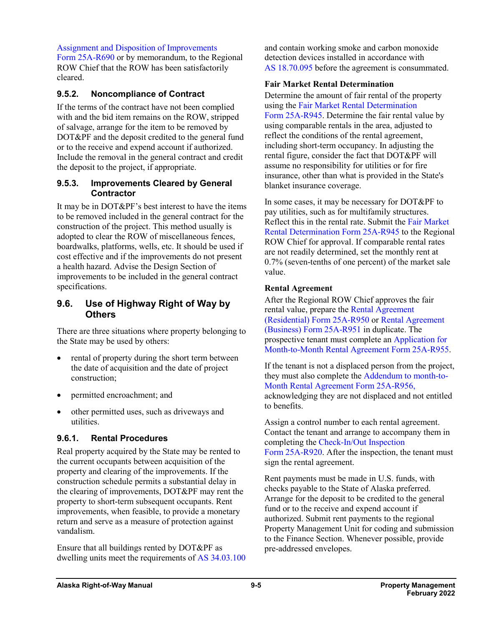[Assignment and Disposition of Improvements](http://www.dot.state.ak.us/stwddes/dcsrow/assets/pdf/forms/25ar690.pdf) 

Form [25A-R690](http://www.dot.state.ak.us/stwddes/dcsrow/assets/pdf/forms/25ar690.pdf) or by memorandum, to the Regional ROW Chief that the ROW has been satisfactorily cleared.

### **9.5.2. Noncompliance of Contract**

If the terms of the contract have not been complied with and the bid item remains on the ROW, stripped of salvage, arrange for the item to be removed by DOT&PF and the deposit credited to the general fund or to the receive and expend account if authorized. Include the removal in the general contract and credit the deposit to the project, if appropriate.

#### **9.5.3. Improvements Cleared by General Contractor**

It may be in DOT&PF's best interest to have the items to be removed included in the general contract for the construction of the project. This method usually is adopted to clear the ROW of miscellaneous fences, boardwalks, platforms, wells, etc. It should be used if cost effective and if the improvements do not present a health hazard. Advise the Design Section of improvements to be included in the general contract specifications.

### **9.6. Use of Highway Right of Way by Others**

There are three situations where property belonging to the State may be used by others:

- rental of property during the short term between the date of acquisition and the date of project construction;
- permitted encroachment; and
- other permitted uses, such as driveways and utilities.

### **9.6.1. Rental Procedures**

Real property acquired by the State may be rented to the current occupants between acquisition of the property and clearing of the improvements. If the construction schedule permits a substantial delay in the clearing of improvements, DOT&PF may rent the property to short-term subsequent occupants. Rent improvements, when feasible, to provide a monetary return and serve as a measure of protection against vandalism.

Ensure that all buildings rented by DOT&PF as dwelling units meet the requirements of AS [34.03.100](http://www.akleg.gov/basis/statutes.asp#34.03.100) and contain working smoke and carbon monoxide detection devices installed in accordance with AS [18.70.095](http://www.akleg.gov/basis/statutes.asp#18.70.095) before the agreement is consummated.

#### **Fair Market Rental Determination**

Determine the amount of fair rental of the property using th[e Fair Market Rental Determination](http://www.dot.state.ak.us/stwddes/dcsrow/assets/pdf/forms/25ar945.pdf)  Form [25A-R945.](http://www.dot.state.ak.us/stwddes/dcsrow/assets/pdf/forms/25ar945.pdf) Determine the fair rental value by using comparable rentals in the area, adjusted to reflect the conditions of the rental agreement, including short-term occupancy. In adjusting the rental figure, consider the fact that DOT&PF will assume no responsibility for utilities or for fire insurance, other than what is provided in the State's blanket insurance coverage.

In some cases, it may be necessary for DOT&PF to pay utilities, such as for multifamily structures. Reflect this in the rental rate. Submit the [Fair Market](http://www.dot.state.ak.us/stwddes/dcsrow/assets/pdf/forms/25ar945.pdf)  [Rental Determination Form](http://www.dot.state.ak.us/stwddes/dcsrow/assets/pdf/forms/25ar945.pdf) 25A-R945 to the Regional ROW Chief for approval. If comparable rental rates are not readily determined, set the monthly rent at 0.7% (seven-tenths of one percent) of the market sale value.

#### **Rental Agreement**

After the Regional ROW Chief approves the fair rental value, prepare the [Rental Agreement](http://www.dot.state.ak.us/stwddes/dcsrow/assets/pdf/forms/25ar950.pdf) [\(Residential\)](http://www.dot.state.ak.us/stwddes/dcsrow/assets/pdf/forms/25ar950.pdf) Form 25A-R950 or [Rental Agreement](http://www.dot.state.ak.us/stwddes/dcsrow/assets/pdf/forms/25ar951.pdf) [\(Business\)](http://www.dot.state.ak.us/stwddes/dcsrow/assets/pdf/forms/25ar951.pdf) Form 25A-R951 in duplicate. The prospective tenant must complete an [Application for](http://www.dot.state.ak.us/stwddes/dcsrow/assets/pdf/forms/25ar955.pdf) [Month-to-Month Rental Agreement Form](http://www.dot.state.ak.us/stwddes/dcsrow/assets/pdf/forms/25ar955.pdf) 25A-R955.

If the tenant is not a displaced person from the project, they must also complete the [Addendum to](http://www.dot.state.ak.us/stwddes/dcsrow/assets/pdf/forms/25ar956.pdf) month-to-[Month Rental Agreement Form](http://www.dot.state.ak.us/stwddes/dcsrow/assets/pdf/forms/25ar956.pdf) 25A-R956, acknowledging they are not displaced and not entitled to benefits.

Assign a control number to each rental agreement. Contact the tenant and arrange to accompany them in completing the [Check-In/Out Inspection](http://www.dot.state.ak.us/stwddes/dcsrow/assets/pdf/forms/25ar920.pdf)  Form [25A-R920.](http://www.dot.state.ak.us/stwddes/dcsrow/assets/pdf/forms/25ar920.pdf) After the inspection, the tenant must sign the rental agreement.

Rent payments must be made in U.S. funds, with checks payable to the State of Alaska preferred. Arrange for the deposit to be credited to the general fund or to the receive and expend account if authorized. Submit rent payments to the regional Property Management Unit for coding and submission to the Finance Section. Whenever possible, provide pre-addressed envelopes.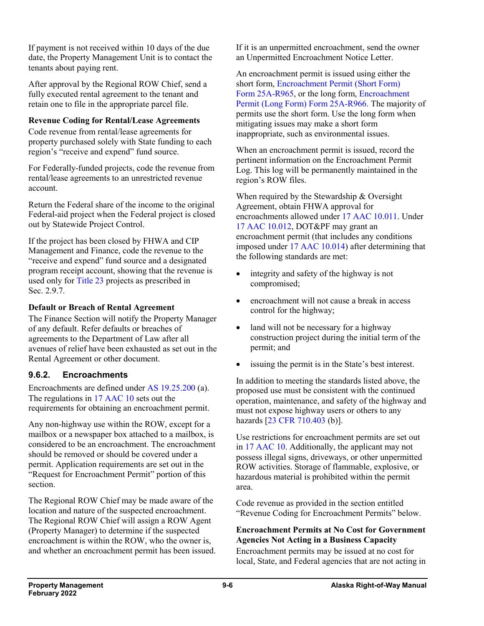If payment is not received within 10 days of the due date, the Property Management Unit is to contact the tenants about paying rent.

After approval by the Regional ROW Chief, send a fully executed rental agreement to the tenant and retain one to file in the appropriate parcel file.

#### **Revenue Coding for Rental/Lease Agreements**

Code revenue from rental/lease agreements for property purchased solely with State funding to each region's "receive and expend" fund source.

For Federally-funded projects, code the revenue from rental/lease agreements to an unrestricted revenue account.

Return the Federal share of the income to the original Federal-aid project when the Federal project is closed out by Statewide Project Control.

If the project has been closed by FHWA and CIP Management and Finance, code the revenue to the "receive and expend" fund source and a designated program receipt account, showing that the revenue is used only for [Title](http://uscode.house.gov/view.xhtml?path=/prelim@title23&edition=prelim) 23 projects as prescribed in Sec. 2.9.7.

### **Default or Breach of Rental Agreement**

The Finance Section will notify the Property Manager of any default. Refer defaults or breaches of agreements to the Department of Law after all avenues of relief have been exhausted as set out in the Rental Agreement or other document.

### **9.6.2. Encroachments**

Encroachments are defined under AS [19.25.200](http://www.akleg.gov/basis/statutes.asp#19.25.200) (a). The regulations in 17 [AAC](http://www.legis.state.ak.us/basis/aac.asp#17.10.010) 10 sets out the requirements for obtaining an encroachment permit.

Any non-highway use within the ROW, except for a mailbox or a newspaper box attached to a mailbox, is considered to be an encroachment. The encroachment should be removed or should be covered under a permit. Application requirements are set out in the "Request for Encroachment Permit" portion of this section.

The Regional ROW Chief may be made aware of the location and nature of the suspected encroachment. The Regional ROW Chief will assign a ROW Agent (Property Manager) to determine if the suspected encroachment is within the ROW, who the owner is, and whether an encroachment permit has been issued. If it is an unpermitted encroachment, send the owner an Unpermitted Encroachment Notice Letter.

An encroachment permit is issued using either the short form, [Encroachment Permit \(Short Form\)](http://www.dot.state.ak.us/stwddes/dcsrow/assets/pdf/forms/25ar965.pdf)  Form [25A-R965,](http://www.dot.state.ak.us/stwddes/dcsrow/assets/pdf/forms/25ar965.pdf) or the long form, [Encroachment](http://www.dot.state.ak.us/stwddes/dcsrow/assets/pdf/forms/25ar966.pdf)  [Permit \(Long Form\)](http://www.dot.state.ak.us/stwddes/dcsrow/assets/pdf/forms/25ar966.pdf) Form 25A-R966. The majority of permits use the short form. Use the long form when mitigating issues may make a short form inappropriate, such as environmental issues.

When an encroachment permit is issued, record the pertinent information on the Encroachment Permit Log. This log will be permanently maintained in the region's ROW files.

When required by the Stewardship & Oversight Agreement, obtain FHWA approval for encroachments allowed under 17 AAC [10.011.](http://www.legis.state.ak.us/basis/aac.asp#17.10.011) Under 17 AAC [10.012,](http://www.legis.state.ak.us/basis/aac.asp#17.10.012) DOT&PF may grant an encroachment permit (that includes any conditions imposed under 17 AAC [10.014\)](http://www.legis.state.ak.us/basis/aac.asp#17.10.014) after determining that the following standards are met:

- integrity and safety of the highway is not compromised;
- encroachment will not cause a break in access control for the highway;
- land will not be necessary for a highway construction project during the initial term of the permit; and
- issuing the permit is in the State's best interest.

In addition to meeting the standards listed above, the proposed use must be consistent with the continued operation, maintenance, and safety of the highway and must not expose highway users or others to any hazards [23 CFR [710.403](http://www.ecfr.gov/cgi-bin/text-idx?SID=62e4f4c740b0b6894f5a092107919dfc&mc=true&node=pt23.1.710&rgn=div5) (b)].

Use restrictions for encroachment permits are set out in 17 [AAC](http://www.akleg.gov/basis/aac.asp#17.10) 10. Additionally, the applicant may not possess illegal signs, driveways, or other unpermitted ROW activities. Storage of flammable, explosive, or hazardous material is prohibited within the permit area.

Code revenue as provided in the section entitled "Revenue Coding for Encroachment Permits" below.

#### **Encroachment Permits at No Cost for Government Agencies Not Acting in a Business Capacity**

Encroachment permits may be issued at no cost for local, State, and Federal agencies that are not acting in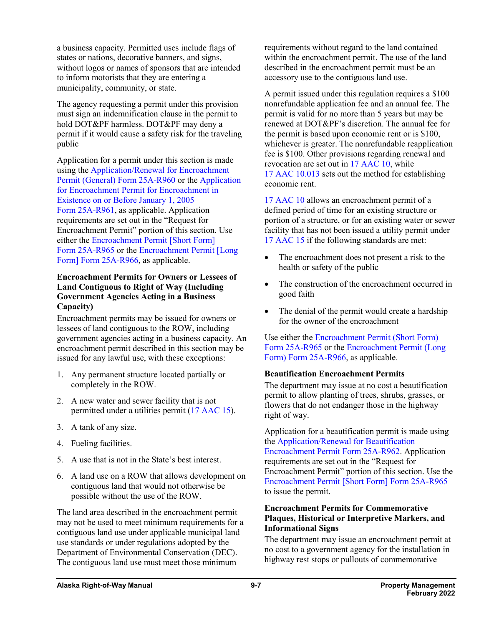a business capacity. Permitted uses include flags of states or nations, decorative banners, and signs, without logos or names of sponsors that are intended to inform motorists that they are entering a municipality, community, or state.

The agency requesting a permit under this provision must sign an indemnification clause in the permit to hold DOT&PF harmless. DOT&PF may deny a permit if it would cause a safety risk for the traveling public

Application for a permit under this section is made using the [Application/Renewal for Encroachment](http://www.dot.state.ak.us/stwddes/dcsrow/assets/pdf/forms/25ar960.pdf)  [Permit \(General\) Form](http://www.dot.state.ak.us/stwddes/dcsrow/assets/pdf/forms/25ar960.pdf) 25A-R960 or the [Application](http://www.dot.state.ak.us/stwddes/dcsrow/assets/pdf/forms/25ar961.pdf)  [for Encroachment Permit for Encroachment in](http://www.dot.state.ak.us/stwddes/dcsrow/assets/pdf/forms/25ar961.pdf) [Existence on or Before January](http://www.dot.state.ak.us/stwddes/dcsrow/assets/pdf/forms/25ar961.pdf) 1, 2005 Form [25A-R961,](http://www.dot.state.ak.us/stwddes/dcsrow/assets/pdf/forms/25ar961.pdf) as applicable. Application requirements are set out in the "Request for Encroachment Permit" portion of this section. Use either the [Encroachment Permit \[Short Form\]](http://www.dot.state.ak.us/stwddes/dcsrow/assets/pdf/forms/25ar965.pdf)  Form [25A-R965](http://www.dot.state.ak.us/stwddes/dcsrow/assets/pdf/forms/25ar965.pdf) or the [Encroachment Permit \[Long](http://www.dot.state.ak.us/stwddes/dcsrow/assets/pdf/forms/25ar966.pdf)  [Form\] Form](http://www.dot.state.ak.us/stwddes/dcsrow/assets/pdf/forms/25ar966.pdf) 25A-R966, as applicable.

#### **Encroachment Permits for Owners or Lessees of Land Contiguous to Right of Way (Including Government Agencies Acting in a Business Capacity)**

Encroachment permits may be issued for owners or lessees of land contiguous to the ROW, including government agencies acting in a business capacity. An encroachment permit described in this section may be issued for any lawful use, with these exceptions:

- 1. Any permanent structure located partially or completely in the ROW.
- 2. A new water and sewer facility that is not permitted under a utilities permit (17 [AAC](http://www.akleg.gov/basis/aac.asp#17.15) 15).
- 3. A tank of any size.
- 4. Fueling facilities.
- 5. A use that is not in the State's best interest.
- 6. A land use on a ROW that allows development on contiguous land that would not otherwise be possible without the use of the ROW.

The land area described in the encroachment permit may not be used to meet minimum requirements for a contiguous land use under applicable municipal land use standards or under regulations adopted by the Department of Environmental Conservation (DEC). The contiguous land use must meet those minimum

requirements without regard to the land contained within the encroachment permit. The use of the land described in the encroachment permit must be an accessory use to the contiguous land use.

A permit issued under this regulation requires a \$100 nonrefundable application fee and an annual fee. The permit is valid for no more than 5 years but may be renewed at DOT&PF's discretion. The annual fee for the permit is based upon economic rent or is \$100, whichever is greater. The nonrefundable reapplication fee is \$100. Other provisions regarding renewal and revocation are set out in 17 [AAC](http://www.legis.state.ak.us/basis/aac.asp#17.10) 10, while 17 AAC [10.013](http://www.legis.state.ak.us/basis/aac.asp#17.10.013) sets out the method for establishing economic rent.

17 [AAC](http://www.akleg.gov/basis/aac.asp#17.10) 10 allows an encroachment permit of a defined period of time for an existing structure or portion of a structure, or for an existing water or sewer facility that has not been issued a utility permit under 17 [AAC](http://www.legis.state.ak.us/basis/aac.asp#17.15.015) 15 if the following standards are met:

- The encroachment does not present a risk to the health or safety of the public
- The construction of the encroachment occurred in good faith
- The denial of the permit would create a hardship for the owner of the encroachment

Use either the [Encroachment Permit \(Short Form\)](http://www.dot.state.ak.us/stwddes/dcsrow/assets/pdf/forms/25ar965.pdf) Form [25A-R965](http://www.dot.state.ak.us/stwddes/dcsrow/assets/pdf/forms/25ar965.pdf) or th[e Encroachment Permit \(Long](http://www.dot.state.ak.us/stwddes/dcsrow/assets/pdf/forms/25ar966.pdf)  [Form\) Form](http://www.dot.state.ak.us/stwddes/dcsrow/assets/pdf/forms/25ar966.pdf) 25A-R966, as applicable.

### **Beautification Encroachment Permits**

The department may issue at no cost a beautification permit to allow planting of trees, shrubs, grasses, or flowers that do not endanger those in the highway right of way.

Application for a beautification permit is made using the [Application/Renewal for Beautification](http://www.dot.state.ak.us/stwddes/dcsrow/assets/pdf/forms/25ar962.pdf)  [Encroachment Permit Form](http://www.dot.state.ak.us/stwddes/dcsrow/assets/pdf/forms/25ar962.pdf) 25A-R962. Application requirements are set out in the "Request for Encroachment Permit" portion of this section. Use the [Encroachment Permit \[Short Form\] Form](http://www.dot.state.ak.us/stwddes/dcsrow/assets/pdf/forms/25ar965.pdf) 25A-R965 to issue the permit.

#### **Encroachment Permits for Commemorative Plaques, Historical or Interpretive Markers, and Informational Signs**

The department may issue an encroachment permit at no cost to a government agency for the installation in highway rest stops or pullouts of commemorative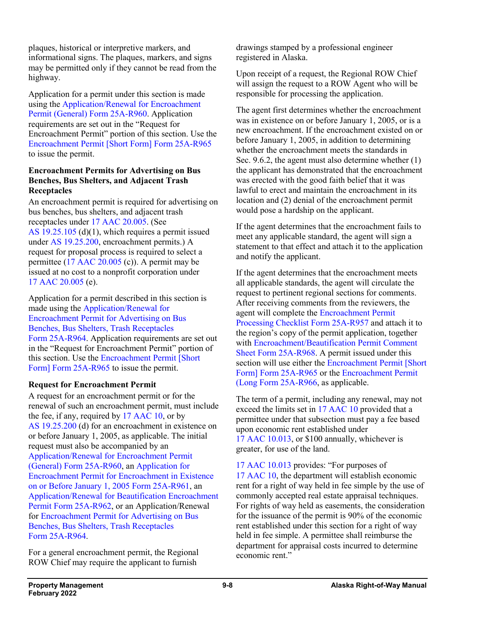plaques, historical or interpretive markers, and informational signs. The plaques, markers, and signs may be permitted only if they cannot be read from the highway.

Application for a permit under this section is made using the [Application/Renewal for Encroachment](http://www.dot.state.ak.us/stwddes/dcsrow/assets/pdf/forms/25ar960.pdf)  [Permit \(General\) Form](http://www.dot.state.ak.us/stwddes/dcsrow/assets/pdf/forms/25ar960.pdf) 25A-R960. Application requirements are set out in the "Request for Encroachment Permit" portion of this section. Use the [Encroachment Permit \[Short Form\] Form](http://www.dot.state.ak.us/stwddes/dcsrow/assets/pdf/forms/25ar965.pdf) 25A-R965 to issue the permit.

#### **Encroachment Permits for Advertising on Bus Benches, Bus Shelters, and Adjacent Trash Receptacles**

An encroachment permit is required for advertising on bus benches, bus shelters, and adjacent trash receptacles under 17 AAC [20.005.](http://www.akleg.gov/basis/aac.asp#17.20.005) (See AS [19.25.105](http://www.akleg.gov/basis/statutes.asp#19.25.105) (d)(1), which requires a permit issued under AS [19.25.200,](http://www.akleg.gov/basis/statutes.asp#19.25.200) encroachment permits.) A request for proposal process is required to select a permittee (17 AAC [20.005](http://www.akleg.gov/basis/aac.asp#17.20.005) (c)). A permit may be issued at no cost to a nonprofit corporation under 17 AAC [20.005](http://www.akleg.gov/basis/aac.asp#17.20.005) (e).

Application for a permit described in this section is made using the [Application/Renewal for](http://www.dot.state.ak.us/stwddes/dcsrow/assets/pdf/forms/25ar964.pdf)  [Encroachment Permit for Advertising on Bus](http://www.dot.state.ak.us/stwddes/dcsrow/assets/pdf/forms/25ar964.pdf)  [Benches, Bus Shelters, Trash Receptacles](http://www.dot.state.ak.us/stwddes/dcsrow/assets/pdf/forms/25ar964.pdf)  Form [25A-R964.](http://www.dot.state.ak.us/stwddes/dcsrow/assets/pdf/forms/25ar964.pdf) Application requirements are set out in the "Request for Encroachment Permit" portion of this section. Use the [Encroachment Permit \[Short](http://www.dot.state.ak.us/stwddes/dcsrow/assets/pdf/forms/25ar965.pdf)  [Form\] Form](http://www.dot.state.ak.us/stwddes/dcsrow/assets/pdf/forms/25ar965.pdf) 25A-R965 to issue the permit.

### **Request for Encroachment Permit**

A request for an encroachment permit or for the renewal of such an encroachment permit, must include the fee, if any, required by 17 [AAC](http://www.akleg.gov/basis/aac.asp#17.10) 10, or by AS [19.25.200](http://www.akleg.gov/basis/statutes.asp#19.25.200) (d) for an encroachment in existence on or before January 1, 2005, as applicable. The initial request must also be accompanied by an [Application/Renewal for Encroachment Permit](http://www.dot.state.ak.us/stwddes/dcsrow/assets/pdf/forms/25ar960.pdf)  [\(General\) Form](http://www.dot.state.ak.us/stwddes/dcsrow/assets/pdf/forms/25ar960.pdf) 25A-R960, an [Application for](http://www.dot.state.ak.us/stwddes/dcsrow/assets/pdf/forms/25ar961.pdf)  [Encroachment Permit for Encroachment in Existence](http://www.dot.state.ak.us/stwddes/dcsrow/assets/pdf/forms/25ar961.pdf)  [on or Before January](http://www.dot.state.ak.us/stwddes/dcsrow/assets/pdf/forms/25ar961.pdf) 1, 2005 Form 25A-R961, an [Application/Renewal for Beautification Encroachment](http://www.dot.state.ak.us/stwddes/dcsrow/assets/pdf/forms/25ar962.pdf)  [Permit Form](http://www.dot.state.ak.us/stwddes/dcsrow/assets/pdf/forms/25ar962.pdf) 25A-R962, or an Application/Renewal for [Encroachment Permit for Advertising on Bus](http://www.dot.state.ak.us/stwddes/dcsrow/assets/pdf/forms/25ar964.pdf)  [Benches, Bus Shelters, Trash Receptacles](http://www.dot.state.ak.us/stwddes/dcsrow/assets/pdf/forms/25ar964.pdf)  Form [25A-R964.](http://www.dot.state.ak.us/stwddes/dcsrow/assets/pdf/forms/25ar964.pdf)

For a general encroachment permit, the Regional ROW Chief may require the applicant to furnish

drawings stamped by a professional engineer registered in Alaska.

Upon receipt of a request, the Regional ROW Chief will assign the request to a ROW Agent who will be responsible for processing the application.

The agent first determines whether the encroachment was in existence on or before January 1, 2005, or is a new encroachment. If the encroachment existed on or before January 1, 2005, in addition to determining whether the encroachment meets the standards in Sec. 9.6.2, the agent must also determine whether (1) the applicant has demonstrated that the encroachment was erected with the good faith belief that it was lawful to erect and maintain the encroachment in its location and (2) denial of the encroachment permit would pose a hardship on the applicant.

If the agent determines that the encroachment fails to meet any applicable standard, the agent will sign a statement to that effect and attach it to the application and notify the applicant.

If the agent determines that the encroachment meets all applicable standards, the agent will circulate the request to pertinent regional sections for comments. After receiving comments from the reviewers, the agent will complete the [Encroachment Permit](http://www.dot.state.ak.us/stwddes/dcsrow/assets/pdf/forms/25ar957.pdf)  [Processing Checklist Form](http://www.dot.state.ak.us/stwddes/dcsrow/assets/pdf/forms/25ar957.pdf) 25A-R957 and attach it to the region's copy of the permit application, together with [Encroachment/Beautification Permit Comment](http://www.dot.state.ak.us/stwddes/dcsrow/assets/pdf/forms/25ar968.pdf)  [Sheet Form](http://www.dot.state.ak.us/stwddes/dcsrow/assets/pdf/forms/25ar968.pdf) 25A-R968. A permit issued under this section will use either the Encroachment Permit [Short] [Form\] Form](http://www.dot.state.ak.us/stwddes/dcsrow/assets/pdf/forms/25ar965.pdf) 25A-R965 or the [Encroachment Permit](http://www.dot.state.ak.us/stwddes/dcsrow/assets/pdf/forms/25ar966.pdf)  [\(Long Form](http://www.dot.state.ak.us/stwddes/dcsrow/assets/pdf/forms/25ar966.pdf) 25A-R966, as applicable.

The term of a permit, including any renewal, may not exceed the limits set in 17 [AAC](http://www.legis.state.ak.us/basis/aac.asp#17.10) 10 provided that a permittee under that subsection must pay a fee based upon economic rent established under 17 AAC [10.013,](http://www.akleg.gov/basis/aac.asp#17.10.013) or \$100 annually, whichever is greater, for use of the land.

17 AAC [10.013](http://www.akleg.gov/basis/aac.asp#17.20.013) provides: "For purposes of 17 [AAC](http://www.akleg.gov/basis/aac.asp#17.10) 10, the department will establish economic rent for a right of way held in fee simple by the use of commonly accepted real estate appraisal techniques. For rights of way held as easements, the consideration for the issuance of the permit is 90% of the economic rent established under this section for a right of way held in fee simple. A permittee shall reimburse the department for appraisal costs incurred to determine economic rent."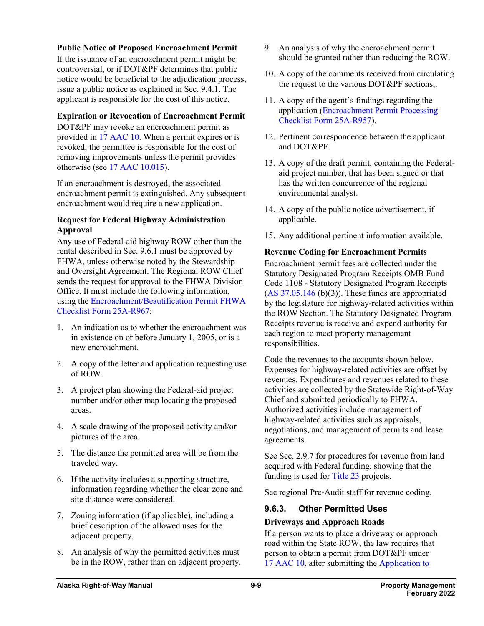#### **Public Notice of Proposed Encroachment Permit**

If the issuance of an encroachment permit might be controversial, or if DOT&PF determines that public notice would be beneficial to the adjudication process, issue a public notice as explained in Sec. 9.4.1. The applicant is responsible for the cost of this notice.

#### **Expiration or Revocation of Encroachment Permit**

DOT&PF may revoke an encroachment permit as provided in 17 [AAC](http://www.akleg.gov/basis/aac.asp#17.10) 10. When a permit expires or is revoked, the permittee is responsible for the cost of removing improvements unless the permit provides otherwise (see 17 AAC [10.015\)](http://www.legis.state.ak.us/basis/aac.asp#17.10.015).

If an encroachment is destroyed, the associated encroachment permit is extinguished. Any subsequent encroachment would require a new application.

#### **Request for Federal Highway Administration Approval**

Any use of Federal-aid highway ROW other than the rental described in Sec. 9.6.1 must be approved by FHWA, unless otherwise noted by the Stewardship and Oversight Agreement. The Regional ROW Chief sends the request for approval to the FHWA Division Office. It must include the following information, using the [Encroachment/Beautification Permit FHWA](http://www.dot.state.ak.us/stwddes/dcsrow/assets/pdf/forms/25ar967.pdf)  [Checklist Form](http://www.dot.state.ak.us/stwddes/dcsrow/assets/pdf/forms/25ar967.pdf) 25A-R967:

- 1. An indication as to whether the encroachment was in existence on or before January 1, 2005, or is a new encroachment.
- 2. A copy of the letter and application requesting use of ROW.
- 3. A project plan showing the Federal-aid project number and/or other map locating the proposed areas.
- 4. A scale drawing of the proposed activity and/or pictures of the area.
- 5. The distance the permitted area will be from the traveled way.
- 6. If the activity includes a supporting structure, information regarding whether the clear zone and site distance were considered.
- 7. Zoning information (if applicable), including a brief description of the allowed uses for the adjacent property.
- 8. An analysis of why the permitted activities must be in the ROW, rather than on adjacent property.
- 9. An analysis of why the encroachment permit should be granted rather than reducing the ROW.
- 10. A copy of the comments received from circulating the request to the various DOT&PF sections,.
- 11. A copy of the agent's findings regarding the application [\(Encroachment Permit Processing](http://www.dot.state.ak.us/stwddes/dcsrow/assets/pdf/forms/25ar957.pdf)  [Checklist Form](http://www.dot.state.ak.us/stwddes/dcsrow/assets/pdf/forms/25ar957.pdf) 25A-R957).
- 12. Pertinent correspondence between the applicant and DOT&PF.
- 13. A copy of the draft permit, containing the Federalaid project number, that has been signed or that has the written concurrence of the regional environmental analyst.
- 14. A copy of the public notice advertisement, if applicable.
- 15. Any additional pertinent information available.

#### **Revenue Coding for Encroachment Permits**

Encroachment permit fees are collected under the Statutory Designated Program Receipts OMB Fund Code 1108 - Statutory Designated Program Receipts  $(AS\ 37.05.146\ (b)(3))$  $(AS\ 37.05.146\ (b)(3))$  $(AS\ 37.05.146\ (b)(3))$ . These funds are appropriated by the legislature for highway-related activities within the ROW Section. The Statutory Designated Program Receipts revenue is receive and expend authority for each region to meet property management responsibilities.

Code the revenues to the accounts shown below. Expenses for highway-related activities are offset by revenues. Expenditures and revenues related to these activities are collected by the Statewide Right-of-Way Chief and submitted periodically to FHWA. Authorized activities include management of highway-related activities such as appraisals, negotiations, and management of permits and lease agreements.

See Sec. 2.9.7 for procedures for revenue from land acquired with Federal funding, showing that the funding is used for [Title](http://uscode.house.gov/view.xhtml?path=/prelim@title23&edition=prelim) 23 projects.

See regional Pre-Audit staff for revenue coding.

### **9.6.3. Other Permitted Uses**

### **Driveways and Approach Roads**

If a person wants to place a driveway or approach road within the State ROW, the law requires that person to obtain a permit from DOT&PF under 17 [AAC](http://www.legis.state.ak.us/basis/aac.asp#17.10) 10, after submitting the [Application to](http://www.dot.state.ak.us/stwddes/dcsrow/assets/pdf/forms/25ar969.pdf)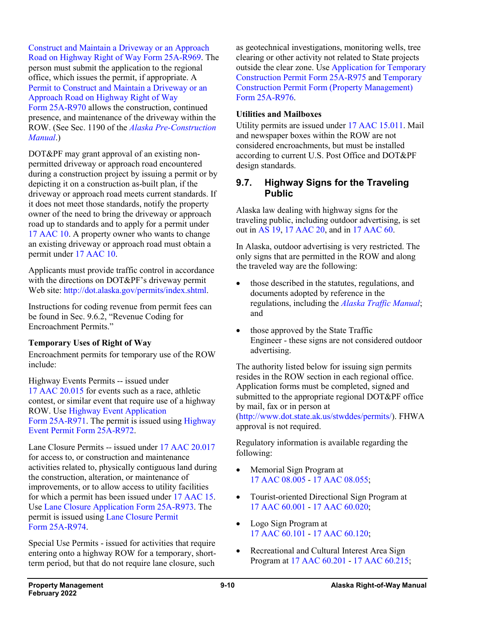[Construct and Maintain a Driveway or an Approach](http://www.dot.state.ak.us/stwddes/dcsrow/assets/pdf/forms/25ar969.pdf)  [Road on Highway Right of Way Form](http://www.dot.state.ak.us/stwddes/dcsrow/assets/pdf/forms/25ar969.pdf) 25A-R969. The person must submit the application to the regional office, which issues the permit, if appropriate. A [Permit to Construct and Maintain a Driveway or an](http://www.dot.state.ak.us/stwddes/dcsrow/assets/pdf/forms/25ar970.pdf)  [Approach Road on Highway Right of Way](http://www.dot.state.ak.us/stwddes/dcsrow/assets/pdf/forms/25ar970.pdf) Form [25A-R970](http://www.dot.state.ak.us/stwddes/dcsrow/assets/pdf/forms/25ar970.pdf) allows the construction, continued presence, and maintenance of the driveway within the ROW. (See Sec. 1190 of the *[Alaska Pre-Construction](http://www.dot.state.ak.us/stwddes/dcsprecon/preconmanual.shtml)  [Manual](http://www.dot.state.ak.us/stwddes/dcsprecon/preconmanual.shtml)*.)

DOT&PF may grant approval of an existing nonpermitted driveway or approach road encountered during a construction project by issuing a permit or by depicting it on a construction as-built plan, if the driveway or approach road meets current standards. If it does not meet those standards, notify the property owner of the need to bring the driveway or approach road up to standards and to apply for a permit under 17 [AAC](http://www.akleg.gov/basis/aac.asp#17.10) 10. A property owner who wants to change an existing driveway or approach road must obtain a permit under 17 [AAC](http://www.akleg.gov/basis/aac.asp#17.10) 10.

Applicants must provide traffic control in accordance with the directions on DOT&PF's driveway permit Web site: [http://dot.alaska.gov/permits/index.shtml.](http://dot.alaska.gov/permits/index.shtml)

Instructions for coding revenue from permit fees can be found in Sec. 9.6.2, "Revenue Coding for Encroachment Permits."

#### **Temporary Uses of Right of Way**

Encroachment permits for temporary use of the ROW include:

Highway Events Permits -- issued under 17 AAC [20.015](http://www.legis.state.ak.us/basis/aac.asp#17.20.015) for events such as a race, athletic contest, or similar event that require use of a highway ROW. Use [Highway Event Application](http://www.dot.state.ak.us/stwddes/dcsrow/assets/pdf/forms/25ar971.pdf) Form [25A-R971.](http://www.dot.state.ak.us/stwddes/dcsrow/assets/pdf/forms/25ar971.pdf) The permit is issued using [Highway](http://www.dot.state.ak.us/stwddes/dcsrow/assets/pdf/forms/25ar972.pdf)  [Event Permit Form](http://www.dot.state.ak.us/stwddes/dcsrow/assets/pdf/forms/25ar972.pdf) 25A-R972.

Lane Closure Permits -- issued under 17 AAC [20.017](http://www.legis.state.ak.us/basis/aac.asp#17.20.017) for access to, or construction and maintenance activities related to, physically contiguous land during the construction, alteration, or maintenance of improvements, or to allow access to utility facilities for which a permit has been issued under 17 [AAC](http://www.legis.state.ak.us/basis/aac.asp#17.15) 15. Use [Lane Closure Application Form](http://www.dot.state.ak.us/stwddes/dcsrow/assets/pdf/forms/25ar973.pdf) 25A-R973. The permit is issued using [Lane Closure Permit](http://www.dot.state.ak.us/stwddes/dcsrow/assets/pdf/forms/25ar974.pdf)  Form [25A-R974.](http://www.dot.state.ak.us/stwddes/dcsrow/assets/pdf/forms/25ar974.pdf)

Special Use Permits - issued for activities that require entering onto a highway ROW for a temporary, shortterm period, but that do not require lane closure, such as geotechnical investigations, monitoring wells, tree clearing or other activity not related to State projects outside the clear zone. Use [Application for Temporary](http://www.dot.state.ak.us/stwddes/dcsrow/assets/pdf/forms/25ar975.pdf)  [Construction Permit Form](http://www.dot.state.ak.us/stwddes/dcsrow/assets/pdf/forms/25ar975.pdf) 25A-R975 and [Temporary](http://www.dot.state.ak.us/stwddes/dcsrow/assets/pdf/forms/25ar976.pdf)  [Construction Permit Form \(Property Management\)](http://www.dot.state.ak.us/stwddes/dcsrow/assets/pdf/forms/25ar976.pdf)  Form [25A-R976.](http://www.dot.state.ak.us/stwddes/dcsrow/assets/pdf/forms/25ar976.pdf)

#### **Utilities and Mailboxes**

Utility permits are issued under 17 AAC [15.011.](http://www.akleg.gov/basis/aac.asp#17.15.011) Mail and newspaper boxes within the ROW are not considered encroachments, but must be installed according to current U.S. Post Office and DOT&PF design standards.

### **9.7. Highway Signs for the Traveling Public**

Alaska law dealing with highway signs for the traveling public, including outdoor advertising, is set out in [AS](http://www.akleg.gov/basis/statutes.asp#19) 19, 17 [AAC](http://www.akleg.gov/basis/aac.asp#17.20) 20, and in 17 [AAC](http://www.akleg.gov/basis/aac.asp#17.60) 60.

In Alaska, outdoor advertising is very restricted. The only signs that are permitted in the ROW and along the traveled way are the following:

- those described in the statutes, regulations, and documents adopted by reference in the regulations, including the *[Alaska Traffic Manual](http://www.dot.state.ak.us/stwddes/dcstraffic/resources.shtml#collapseTraffic)*; and
- those approved by the State Traffic Engineer - these signs are not considered outdoor advertising.

The authority listed below for issuing sign permits resides in the ROW section in each regional office. Application forms must be completed, signed and submitted to the appropriate regional DOT&PF office by mail, fax or in person at

[\(http://www.dot.state.ak.us/stwddes/permits/](http://www.dot.state.ak.us/stwddes/permits/)). FHWA approval is not required.

Regulatory information is available regarding the following:

- Memorial Sign Program at 17 AAC [08.005](http://www.akleg.gov/basis/aac.asp#17.08.005) - 17 AAC [08.055;](http://www.akleg.gov/basis/aac.asp#17.08.055)
- Tourist-oriented Directional Sign Program at 17 AAC [60.001](http://www.akleg.gov/basis/aac.asp#17.60.001) - 17 AAC [60.020;](http://www.akleg.gov/basis/aac.asp#17.60.020)
- Logo Sign Program at 17 AAC [60.101](http://www.akleg.gov/basis/aac.asp#17.60.101) - 17 AAC [60.120;](http://www.akleg.gov/basis/aac.asp#17.60.120)
- Recreational and Cultural Interest Area Sign Program at 17 AAC [60.201](http://www.akleg.gov/basis/aac.asp#17.60.201) - 17 AAC [60.215;](http://www.akleg.gov/basis/aac.asp#17.60.215)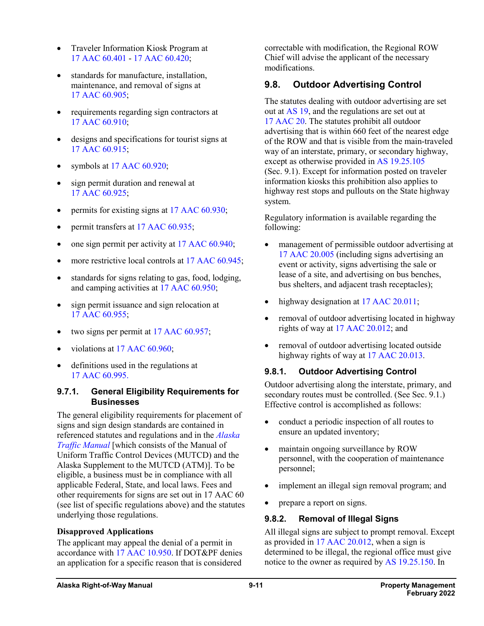- Traveler Information Kiosk Program at 17 AAC [60.401](http://www.akleg.gov/basis/aac.asp#17.60.401) - 17 AAC [60.420;](http://www.akleg.gov/basis/aac.asp#17.60.420)
- standards for manufacture, installation, maintenance, and removal of signs at 17 AAC [60.905;](http://www.akleg.gov/basis/aac.asp#17.60.905)
- requirements regarding sign contractors at 17 AAC [60.910;](http://www.legis.state.ak.us/basis/aac.asp#17.60.910)
- designs and specifications for tourist signs at 17 AAC [60.915;](http://www.legis.state.ak.us/basis/aac.asp#17.60.915)
- symbols at 17 AAC [60.920;](http://www.legis.state.ak.us/basis/aac.asp#17.60.920)
- sign permit duration and renewal at 17 AAC [60.925;](http://www.legis.state.ak.us/basis/aac.asp#17.60.925)
- permits for existing signs at 17 AAC [60.930;](http://www.akleg.gov/basis/aac.asp#17.60.930)
- permit transfers at 17 AAC [60.935;](http://www.legis.state.ak.us/basis/aac.asp#17.60.935)
- one sign permit per activity at 17 AAC [60.940;](http://www.legis.state.ak.us/basis/aac.asp#17.60.940)
- more restrictive local controls at 17 AAC [60.945;](http://www.legis.state.ak.us/basis/aac.asp#17.60.945)
- standards for signs relating to gas, food, lodging, and camping activities at 17 AAC [60.950;](http://www.legis.state.ak.us/basis/aac.asp#17.60.950)
- sign permit issuance and sign relocation at 17 AAC [60.955;](http://www.legis.state.ak.us/basis/aac.asp#17.60.955)
- two signs per permit at 17 AAC [60.957;](http://www.legis.state.ak.us/basis/aac.asp#17.60.957)
- violations at 17 AAC [60.960;](http://www.legis.state.ak.us/basis/aac.asp#17.60.960)
- definitions used in the regulations at 17 AAC [60.995.](http://www.legis.state.ak.us/basis/aac.asp#17.60.995)

#### **9.7.1. General Eligibility Requirements for Businesses**

The general eligibility requirements for placement of signs and sign design standards are contained in referenced statutes and regulations and in the *[Alaska](http://www.dot.state.ak.us/stwddes/dcstraffic/resources.shtml#collapseTraffic)  [Traffic Manual](http://www.dot.state.ak.us/stwddes/dcstraffic/resources.shtml#collapseTraffic)* [which consists of the Manual of Uniform Traffic Control Devices (MUTCD) and the Alaska Supplement to the MUTCD (ATM)]. To be eligible, a business must be in compliance with all applicable Federal, State, and local laws. Fees and other requirements for signs are set out in 17 AAC 60 (see list of specific regulations above) and the statutes underlying those regulations.

#### **Disapproved Applications**

The applicant may appeal the denial of a permit in accordance with 17 AAC [10.950.](http://www.legis.state.ak.us/basis/aac.asp#17.10.950) If DOT&PF denies an application for a specific reason that is considered

correctable with modification, the Regional ROW Chief will advise the applicant of the necessary modifications.

## **9.8. Outdoor Advertising Control**

The statutes dealing with outdoor advertising are set out at [AS](http://www.akleg.gov/basis/statutes.asp#19) 19, and the regulations are set out at 17 [AAC](http://www.akleg.gov/basis/aac.asp#17.20) 20. The statutes prohibit all outdoor advertising that is within 660 feet of the nearest edge of the ROW and that is visible from the main-traveled way of an interstate, primary, or secondary highway, except as otherwise provided in AS [19.25.105](http://www.akleg.gov/basis/statutes.asp#19.25.105) (Sec. 9.1). Except for information posted on traveler information kiosks this prohibition also applies to highway rest stops and pullouts on the State highway system.

Regulatory information is available regarding the following:

- management of permissible outdoor advertising at 17 AAC [20.005](http://www.akleg.gov/basis/aac.asp#17.20.005) (including signs advertising an event or activity, signs advertising the sale or lease of a site, and advertising on bus benches, bus shelters, and adjacent trash receptacles);
- highway designation at 17 AAC [20.011;](http://www.akleg.gov/basis/aac.asp#17.20.011)
- removal of outdoor advertising located in highway rights of way at 17 AAC [20.012;](http://www.akleg.gov/basis/aac.asp#17.20.012) and
- removal of outdoor advertising located outside highway rights of way at 17 AAC [20.013.](http://www.akleg.gov/basis/aac.asp#17.20.013)

### **9.8.1. Outdoor Advertising Control**

Outdoor advertising along the interstate, primary, and secondary routes must be controlled. (See Sec. 9.1.) Effective control is accomplished as follows:

- conduct a periodic inspection of all routes to ensure an updated inventory;
- maintain ongoing surveillance by ROW personnel, with the cooperation of maintenance personnel;
- implement an illegal sign removal program; and
- prepare a report on signs.

### **9.8.2. Removal of Illegal Signs**

All illegal signs are subject to prompt removal. Except as provided in 17 AAC [20.012,](http://www.legis.state.ak.us/basis/aac.asp#17.20.012) when a sign is determined to be illegal, the regional office must give notice to the owner as required by AS [19.25.150.](http://www.akleg.gov/basis/statutes.asp#19.25.150) In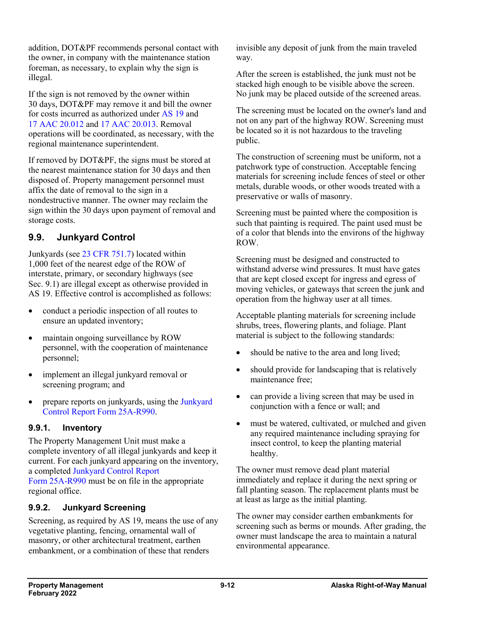addition, DOT&PF recommends personal contact with the owner, in company with the maintenance station foreman, as necessary, to explain why the sign is illegal.

If the sign is not removed by the owner within 30 days, DOT&PF may remove it and bill the owner for costs incurred as authorized under [AS](http://www.akleg.gov/basis/statutes.asp#19) 19 and 17 AAC [20.012](http://www.akleg.gov/basis/aac.asp#17.20.012) and 17 AAC [20.013.](http://www.akleg.gov/basis/aac.asp#17.20.012) Removal operations will be coordinated, as necessary, with the regional maintenance superintendent.

If removed by DOT&PF, the signs must be stored at the nearest maintenance station for 30 days and then disposed of. Property management personnel must affix the date of removal to the sign in a nondestructive manner. The owner may reclaim the sign within the 30 days upon payment of removal and storage costs.

## **9.9. Junkyard Control**

Junkyards (see 23 CFR [751.7\)](http://www.ecfr.gov/cgi-bin/text-idx?SID=2e81609f183b8e835574d96d898f9e95&mc=true&node=pt23.1.751&rgn=div5) located within 1,000 feet of the nearest edge of the ROW of interstate, primary, or secondary highways (see Sec. 9.1) are illegal except as otherwise provided in AS 19. Effective control is accomplished as follows:

- conduct a periodic inspection of all routes to ensure an updated inventory;
- maintain ongoing surveillance by ROW personnel, with the cooperation of maintenance personnel;
- implement an illegal junkyard removal or screening program; and
- prepare reports on junkyards, using the Junkyard [Control Report Form](http://www.dot.state.ak.us/stwddes/dcsrow/assets/pdf/forms/25ar990.pdf) 25A-R990.

### **9.9.1. Inventory**

The Property Management Unit must make a complete inventory of all illegal junkyards and keep it current. For each junkyard appearing on the inventory, a completed [Junkyard Control Report](http://www.dot.state.ak.us/stwddes/dcsrow/assets/pdf/forms/25ar990.pdf)  Form [25A-R990](http://www.dot.state.ak.us/stwddes/dcsrow/assets/pdf/forms/25ar990.pdf) must be on file in the appropriate regional office.

### **9.9.2. Junkyard Screening**

Screening, as required by AS 19, means the use of any vegetative planting, fencing, ornamental wall of masonry, or other architectural treatment, earthen embankment, or a combination of these that renders

invisible any deposit of junk from the main traveled way.

After the screen is established, the junk must not be stacked high enough to be visible above the screen. No junk may be placed outside of the screened areas.

The screening must be located on the owner's land and not on any part of the highway ROW. Screening must be located so it is not hazardous to the traveling public.

The construction of screening must be uniform, not a patchwork type of construction. Acceptable fencing materials for screening include fences of steel or other metals, durable woods, or other woods treated with a preservative or walls of masonry.

Screening must be painted where the composition is such that painting is required. The paint used must be of a color that blends into the environs of the highway ROW.

Screening must be designed and constructed to withstand adverse wind pressures. It must have gates that are kept closed except for ingress and egress of moving vehicles, or gateways that screen the junk and operation from the highway user at all times.

Acceptable planting materials for screening include shrubs, trees, flowering plants, and foliage. Plant material is subject to the following standards:

- should be native to the area and long lived;
- should provide for landscaping that is relatively maintenance free;
- can provide a living screen that may be used in conjunction with a fence or wall; and
- must be watered, cultivated, or mulched and given any required maintenance including spraying for insect control, to keep the planting material healthy.

The owner must remove dead plant material immediately and replace it during the next spring or fall planting season. The replacement plants must be at least as large as the initial planting.

The owner may consider earthen embankments for screening such as berms or mounds. After grading, the owner must landscape the area to maintain a natural environmental appearance.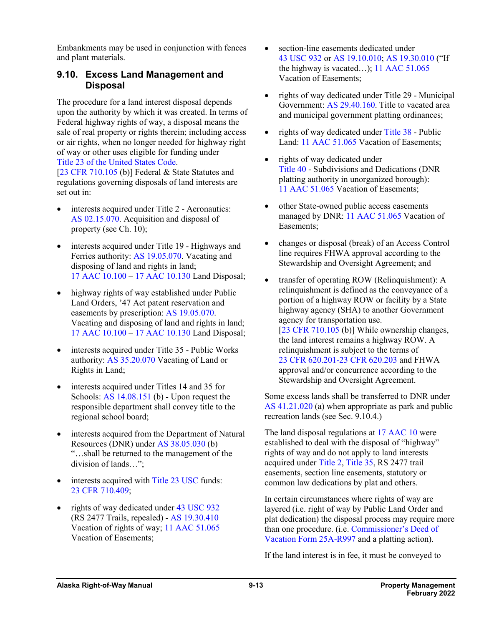Embankments may be used in conjunction with fences and plant materials.

### **9.10. Excess Land Management and Disposal**

The procedure for a land interest disposal depends upon the authority by which it was created. In terms of Federal highway rights of way, a disposal means the sale of real property or rights therein; including access or air rights, when no longer needed for highway right of way or other uses eligible for funding under Title [23 of the United States Code.](http://uscode.house.gov/view.xhtml?path=/prelim@title23&edition=prelim) [23 CFR [710.105](https://www.ecfr.gov/cgi-bin/text-idx?SID=86bdd2c46851794acc20f97698699765&mc=true&node=se23.1.710_1105&rgn=div8) (b)] Federal & State Statutes and

regulations governing disposals of land interests are set out in:

- interests acquired under Title 2 Aeronautics: AS [02.15.070.](http://www.akleg.gov/basis/statutes.asp#02.15.070) Acquisition and disposal of property (see Ch. 10);
- interests acquired under Title 19 Highways and Ferries authority: AS [19.05.070.](http://www.akleg.gov/basis/statutes.asp#19.05.070) Vacating and disposing of land and rights in land; 17 AAC [10.100](http://www.akleg.gov/basis/aac.asp#17.10.100) – 17 AAC [10.130](http://www.akleg.gov/basis/aac.asp#17.10.130) Land Disposal;
- highway rights of way established under Public Land Orders, '47 Act patent reservation and easements by prescription: AS [19.05.070.](http://www.akleg.gov/basis/statutes.asp#19.05.070) Vacating and disposing of land and rights in land; 17 AAC [10.100](http://www.akleg.gov/basis/aac.asp#17.10.100) – 17 AAC [10.130](http://www.akleg.gov/basis/aac.asp#17.10.130) Land Disposal;
- interests acquired under Title 35 Public Works authority: AS [35.20.070](http://www.akleg.gov/basis/statutes.asp#35.20.070) Vacating of Land or Rights in Land;
- interests acquired under Titles 14 and 35 for Schools: AS [14.08.151](http://www.akleg.gov/basis/statutes.asp#14.08.151) (b) - Upon request the responsible department shall convey title to the regional school board;
- interests acquired from the Department of Natural Resources (DNR) under AS [38.05.030](http://www.akleg.gov/basis/statutes.asp#38.05.030) (b) "…shall be returned to the management of the division of lands…";
- interests acquired with [Title](http://uscode.house.gov/view.xhtml?path=/prelim@title23&edition=prelim) 23 USC funds: 23 CFR [710.409;](https://www.ecfr.gov/cgi-bin/retrieveECFR?gp=&SID=5eb1e719267ba4027c5a19c730dbe899&mc=true&n=pt23.1.710&r=PART&ty=HTML#se23.1.710_1409)
- rights of way dedicated under 43 [USC](http://uscode.house.gov/view.xhtml?req=granuleid:USC-prelim-title43-section932&num=0&edition=prelim) 932 (RS 2477 Trails, repealed) - AS [19.30.410](http://www.akleg.gov/basis/statutes.asp#19.30.410) Vacation of rights of way; 11 AAC [51.065](http://www.akleg.gov/basis/aac.asp#11.51.065) Vacation of Easements;
- section-line easements dedicated under 43 [USC](http://uscode.house.gov/view.xhtml?req=granuleid:USC-prelim-title43-section932&num=0&edition=prelim) 932 or AS [19.10.010;](http://www.akleg.gov/basis/statutes.asp#19.10.010) AS [19.30.010](http://www.akleg.gov/basis/statutes.asp#19.30.010) ("If the highway is vacated…); 11 AAC [51.065](http://www.akleg.gov/basis/aac.asp#11.51.065) Vacation of Easements;
- rights of way dedicated under Title 29 Municipal Government: AS [29.40.160.](http://www.akleg.gov/basis/statutes.asp#29.40.160) Title to vacated area and municipal government platting ordinances;
- rights of way dedicated under [Title](http://www.akleg.gov/basis/statutes.asp#38) 38 Public Land: 11 AAC [51.065](http://www.akleg.gov/basis/aac.asp#11.51.065) Vacation of Easements;
- rights of way dedicated under [Title](http://www.akleg.gov/basis/statutes.asp#40) 40 - Subdivisions and Dedications (DNR platting authority in unorganized borough): 11 AAC [51.065](http://www.akleg.gov/basis/aac.asp#11.51.065) Vacation of Easements;
- other State-owned public access easements managed by DNR: 11 AAC [51.065](http://www.akleg.gov/basis/aac.asp#11.51.065) Vacation of Easements;
- changes or disposal (break) of an Access Control line requires FHWA approval according to the Stewardship and Oversight Agreement; and
- transfer of operating ROW (Relinquishment): A relinquishment is defined as the conveyance of a portion of a highway ROW or facility by a State highway agency (SHA) to another Government agency for transportation use. [23 CFR [710.105](https://www.ecfr.gov/cgi-bin/retrieveECFR?gp=&SID=5eb1e719267ba4027c5a19c730dbe899&mc=true&n=pt23.1.710&r=PART&ty=HTML#se23.1.710_1105) (b)] While ownership changes, the land interest remains a highway ROW. A relinquishment is subject to the terms of 23 CFR [620.201-23](https://www.ecfr.gov/cgi-bin/text-idx?SID=5eb1e719267ba4027c5a19c730dbe899&mc=true&node=pt23.1.620&rgn=div5) CFR 620.203 and FHWA approval and/or concurrence according to the Stewardship and Oversight Agreement.

Some excess lands shall be transferred to DNR under AS [41.21.020](http://www.akleg.gov/basis/statutes.asp#41.21.020) (a) when appropriate as park and public recreation lands (see Sec. 9.10.4.)

The land disposal regulations at 17 [AAC](http://www.akleg.gov/basis/aac.asp#17.10) 10 were established to deal with the disposal of "highway" rights of way and do not apply to land interests acquired under [Title](http://www.akleg.gov/basis/statutes.asp#02) 2[, Title](http://www.akleg.gov/basis/statutes.asp#35) 35, RS 2477 trail easements, section line easements, statutory or common law dedications by plat and others.

In certain circumstances where rights of way are layered (i.e. right of way by Public Land Order and plat dedication) the disposal process may require more than one procedure. (i.e. [Commissioner's Deed of](http://www.dot.state.ak.us/stwddes/dcsrow/assets/pdf/forms/25ar997.pdf)  [Vacation Form](http://www.dot.state.ak.us/stwddes/dcsrow/assets/pdf/forms/25ar997.pdf) 25A-R997 and a platting action).

If the land interest is in fee, it must be conveyed to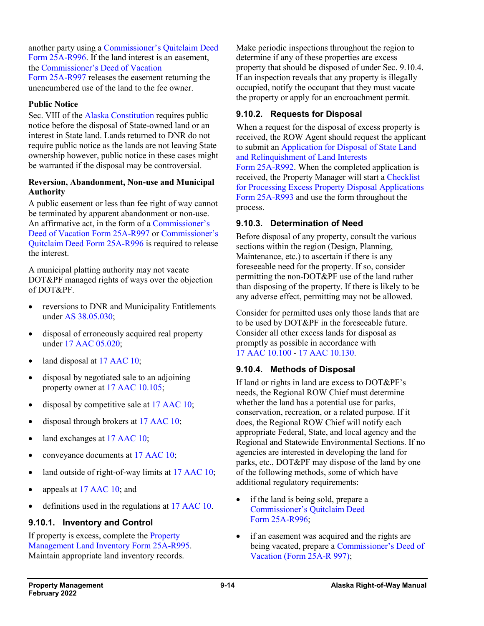another party using a [Commissioner's Quitclaim Deed](http://www.dot.state.ak.us/stwddes/dcsrow/assets/pdf/forms/25ar996.pdf) Form [25A-R996.](http://www.dot.state.ak.us/stwddes/dcsrow/assets/pdf/forms/25ar996.pdf) If the land interest is an easement, the [Commissioner's Deed of Vacation](http://www.dot.state.ak.us/stwddes/dcsrow/assets/pdf/forms/25ar997.pdf)  Form [25A-R997](http://www.dot.state.ak.us/stwddes/dcsrow/assets/pdf/forms/25ar997.pdf) releases the easement returning the unencumbered use of the land to the fee owner.

#### **Public Notice**

Sec. VIII of the [Alaska Constitution](http://ltgov.alaska.gov/services/alaskas-constitution/) requires public notice before the disposal of State-owned land or an interest in State land. Lands returned to DNR do not require public notice as the lands are not leaving State ownership however, public notice in these cases might be warranted if the disposal may be controversial.

#### **Reversion, Abandonment, Non-use and Municipal Authority**

A public easement or less than fee right of way cannot be terminated by apparent abandonment or non-use. An affirmative act, in the form of a [Commissioner's](http://www.dot.state.ak.us/stwddes/dcsrow/assets/pdf/forms/25ar997.pdf)  [Deed of Vacation Form](http://www.dot.state.ak.us/stwddes/dcsrow/assets/pdf/forms/25ar997.pdf) 25A-R997 or [Commissioner's](http://www.dot.state.ak.us/stwddes/dcsrow/assets/pdf/forms/25ar996.pdf)  [Quitclaim Deed Form](http://www.dot.state.ak.us/stwddes/dcsrow/assets/pdf/forms/25ar996.pdf) 25A-R996 is required to release the interest.

A municipal platting authority may not vacate DOT&PF managed rights of ways over the objection of DOT&PF.

- reversions to DNR and Municipality Entitlements under AS [38.05.030;](http://www.akleg.gov/basis/statutes.asp#38.05.030)
- disposal of erroneously acquired real property under 17 AAC [05.020;](http://www.akleg.gov/basis/aac.asp#17.05.020)
- land disposal at 17 [AAC](http://www.akleg.gov/basis/aac.asp#17.10) 10;
- disposal by negotiated sale to an adjoining property owner at 17 AAC [10.105;](http://www.akleg.gov/basis/aac.asp#17.10.105)
- disposal by competitive sale at 17 [AAC](http://www.akleg.gov/basis/aac.asp#17.10) 10;
- disposal through brokers at 17 [AAC](http://www.akleg.gov/basis/aac.asp#17.10) 10;
- land exchanges at 17 [AAC](http://www.akleg.gov/basis/aac.asp#17.10) 10;
- conveyance documents at 17 [AAC](http://www.akleg.gov/basis/aac.asp#17.10) 10;
- land outside of right-of-way limits at 17 [AAC](http://www.akleg.gov/basis/aac.asp#17.10) 10;
- appeals at 17 [AAC](http://www.akleg.gov/basis/aac.asp#17.10) 10; and
- definitions used in the regulations at 17 [AAC](http://www.akleg.gov/basis/aac.asp#17.10) 10.

#### **9.10.1. Inventory and Control**

If property is excess, complete th[e Property](http://www.dot.state.ak.us/stwddes/dcsrow/assets/pdf/forms/25ar995.pdf)  [Management Land Inventory Form](http://www.dot.state.ak.us/stwddes/dcsrow/assets/pdf/forms/25ar995.pdf) 25A-R995. Maintain appropriate land inventory records.

Make periodic inspections throughout the region to determine if any of these properties are excess property that should be disposed of under Sec. 9.10.4. If an inspection reveals that any property is illegally occupied, notify the occupant that they must vacate the property or apply for an encroachment permit.

#### **9.10.2. Requests for Disposal**

When a request for the disposal of excess property is received, the ROW Agent should request the applicant to submit an [Application for Disposal of State Land](http://www.dot.state.ak.us/stwddes/dcsrow/assets/pdf/forms/25ar992.pdf)  [and Relinquishment of Land Interests](http://www.dot.state.ak.us/stwddes/dcsrow/assets/pdf/forms/25ar992.pdf)  Form [25A-R992.](http://www.dot.state.ak.us/stwddes/dcsrow/assets/pdf/forms/25ar992.pdf) When the completed application is received, the Property Manager will start a [Checklist](http://www.dot.state.ak.us/stwddes/dcsrow/assets/pdf/forms/25ar993.pdf)  [for Processing Excess Property Disposal Applications](http://www.dot.state.ak.us/stwddes/dcsrow/assets/pdf/forms/25ar993.pdf)  Form [25A-R993](http://www.dot.state.ak.us/stwddes/dcsrow/assets/pdf/forms/25ar993.pdf) and use the form throughout the process.

#### **9.10.3. Determination of Need**

Before disposal of any property, consult the various sections within the region (Design, Planning, Maintenance, etc.) to ascertain if there is any foreseeable need for the property. If so, consider permitting the non-DOT&PF use of the land rather than disposing of the property. If there is likely to be any adverse effect, permitting may not be allowed.

Consider for permitted uses only those lands that are to be used by DOT&PF in the foreseeable future. Consider all other excess lands for disposal as promptly as possible in accordance with 17 AAC [10.100](http://www.akleg.gov/basis/aac.asp#17.10.100) - 17 AAC [10.130.](http://www.akleg.gov/basis/aac.asp#17.10.130)

#### **9.10.4. Methods of Disposal**

If land or rights in land are excess to DOT&PF's needs, the Regional ROW Chief must determine whether the land has a potential use for parks, conservation, recreation, or a related purpose. If it does, the Regional ROW Chief will notify each appropriate Federal, State, and local agency and the Regional and Statewide Environmental Sections. If no agencies are interested in developing the land for parks, etc., DOT&PF may dispose of the land by one of the following methods, some of which have additional regulatory requirements:

- if the land is being sold, prepare a [Commissioner's Quitclaim Deed](http://www.dot.state.ak.us/stwddes/dcsrow/assets/pdf/forms/25ar996.pdf)  Form [25A-R996;](http://www.dot.state.ak.us/stwddes/dcsrow/assets/pdf/forms/25ar996.pdf)
- if an easement was acquired and the rights are being vacated, prepare a [Commissioner's Deed of](http://www.dot.state.ak.us/stwddes/dcsrow/pop_rowmanual.shtml)  [Vacation \(Form](http://www.dot.state.ak.us/stwddes/dcsrow/pop_rowmanual.shtml) 25A-R 997);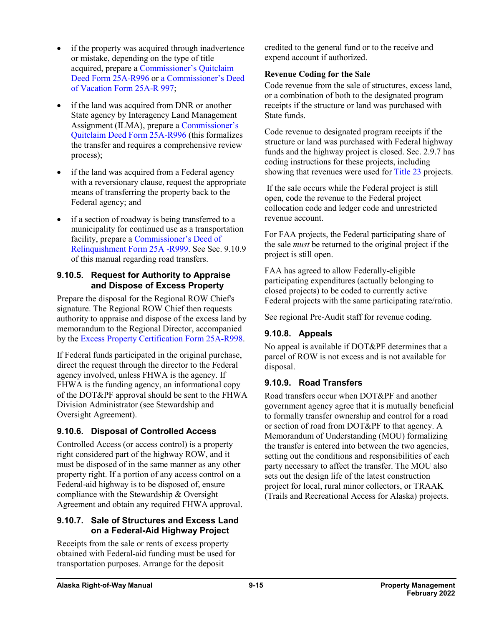- if the property was acquired through inadvertence or mistake, depending on the type of title acquired, prepare [a Commissioner's Quitclaim](http://www.dot.state.ak.us/stwddes/dcsrow/assets/pdf/forms/25ar996.pdf)  Deed Form [25A-R996](http://www.dot.state.ak.us/stwddes/dcsrow/assets/pdf/forms/25ar996.pdf) or [a Commissioner's Deed](http://www.dot.state.ak.us/stwddes/dcsrow/assets/pdf/forms/25ar997.pdf)  [of Vacation Form](http://www.dot.state.ak.us/stwddes/dcsrow/assets/pdf/forms/25ar997.pdf) 25A-R 997;
- if the land was acquired from DNR or another State agency by Interagency Land Management Assignment (ILMA), prepare [a Commissioner's](http://www.dot.state.ak.us/stwddes/dcsrow/assets/pdf/forms/25ar996.pdf)  [Quitclaim Deed](http://www.dot.state.ak.us/stwddes/dcsrow/assets/pdf/forms/25ar996.pdf) Form 25A-R996 (this formalizes the transfer and requires a comprehensive review process);
- if the land was acquired from a Federal agency with a reversionary clause, request the appropriate means of transferring the property back to the Federal agency; and
- if a section of roadway is being transferred to a municipality for continued use as a transportation facility, prepare a [Commissioner's Deed of](http://www.dot.state.ak.us/stwddes/dcsrow/assets/pdf/forms/25ar999.pdf)  [Relinquishment Form](http://www.dot.state.ak.us/stwddes/dcsrow/assets/pdf/forms/25ar999.pdf) 25A -R999. See Sec. 9.10.9 of this manual regarding road transfers.

### **9.10.5. Request for Authority to Appraise and Dispose of Excess Property**

Prepare the disposal for the Regional ROW Chief's signature. The Regional ROW Chief then requests authority to appraise and dispose of the excess land by memorandum to the Regional Director, accompanied by the [Excess Property Certification Form](http://www.dot.state.ak.us/stwddes/dcsrow/assets/pdf/forms/25ar998.pdf) 25A-R998.

If Federal funds participated in the original purchase, direct the request through the director to the Federal agency involved, unless FHWA is the agency. If FHWA is the funding agency, an informational copy of the DOT&PF approval should be sent to the FHWA Division Administrator (see Stewardship and Oversight Agreement).

### **9.10.6. Disposal of Controlled Access**

Controlled Access (or access control) is a property right considered part of the highway ROW, and it must be disposed of in the same manner as any other property right. If a portion of any access control on a Federal-aid highway is to be disposed of, ensure compliance with the Stewardship & Oversight Agreement and obtain any required FHWA approval.

### **9.10.7. Sale of Structures and Excess Land on a Federal-Aid Highway Project**

Receipts from the sale or rents of excess property obtained with Federal-aid funding must be used for transportation purposes. Arrange for the deposit

credited to the general fund or to the receive and expend account if authorized.

#### **Revenue Coding for the Sale**

Code revenue from the sale of structures, excess land, or a combination of both to the designated program receipts if the structure or land was purchased with State funds.

Code revenue to designated program receipts if the structure or land was purchased with Federal highway funds and the highway project is closed. Sec. 2.9.7 has coding instructions for these projects, including showing that revenues were used for [Title](http://uscode.house.gov/view.xhtml?path=/prelim@title23&edition=prelim) 23 projects.

If the sale occurs while the Federal project is still open, code the revenue to the Federal project collocation code and ledger code and unrestricted revenue account.

For FAA projects, the Federal participating share of the sale *must* be returned to the original project if the project is still open.

FAA has agreed to allow Federally-eligible participating expenditures (actually belonging to closed projects) to be coded to currently active Federal projects with the same participating rate/ratio.

See regional Pre-Audit staff for revenue coding.

### **9.10.8. Appeals**

No appeal is available if DOT&PF determines that a parcel of ROW is not excess and is not available for disposal.

### **9.10.9. Road Transfers**

Road transfers occur when DOT&PF and another government agency agree that it is mutually beneficial to formally transfer ownership and control for a road or section of road from DOT&PF to that agency. A Memorandum of Understanding (MOU) formalizing the transfer is entered into between the two agencies, setting out the conditions and responsibilities of each party necessary to affect the transfer. The MOU also sets out the design life of the latest construction project for local, rural minor collectors, or TRAAK (Trails and Recreational Access for Alaska) projects.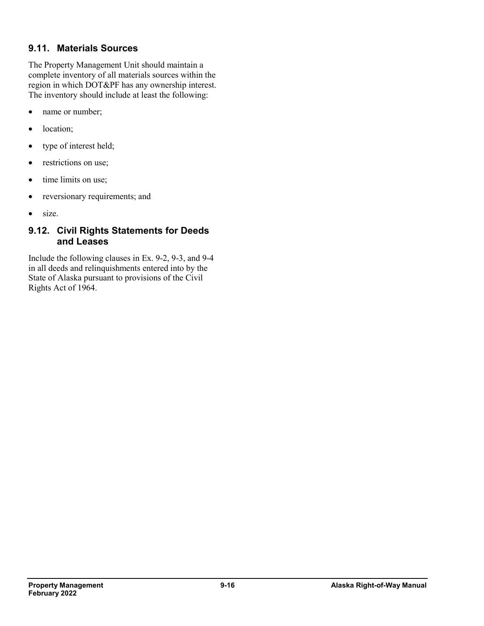## **9.11. Materials Sources**

The Property Management Unit should maintain a complete inventory of all materials sources within the region in which DOT&PF has any ownership interest. The inventory should include at least the following:

- name or number;
- location;
- type of interest held;
- restrictions on use;
- time limits on use;
- reversionary requirements; and
- size.

## **9.12. Civil Rights Statements for Deeds and Leases**

Include the following clauses in Ex. 9-2, 9-3, and 9-4 in all deeds and relinquishments entered into by the State of Alaska pursuant to provisions of the Civil Rights Act of 1964.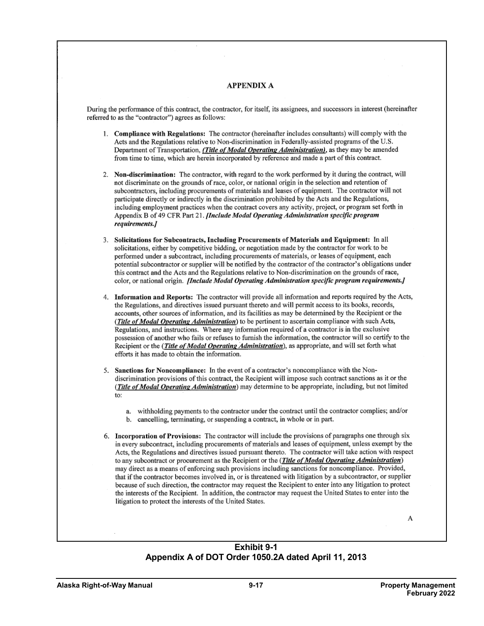#### **APPENDIX A**

During the performance of this contract, the contractor, for itself, its assignees, and successors in interest (hereinafter referred to as the "contractor") agrees as follows:

- 1. Compliance with Regulations: The contractor (hereinafter includes consultants) will comply with the Acts and the Regulations relative to Non-discrimination in Federally-assisted programs of the U.S. Department of Transportation, (Title of Modal Operating Administration), as they may be amended from time to time, which are herein incorporated by reference and made a part of this contract.
- 2. Non-discrimination: The contractor, with regard to the work performed by it during the contract, will not discriminate on the grounds of race, color, or national origin in the selection and retention of subcontractors, including procurements of materials and leases of equipment. The contractor will not participate directly or indirectly in the discrimination prohibited by the Acts and the Regulations, including employment practices when the contract covers any activity, project, or program set forth in Appendix B of 49 CFR Part 21. *[Include Modal Operating Administration specific program* requirements.]
- 3. Solicitations for Subcontracts, Including Procurements of Materials and Equipment: In all solicitations, either by competitive bidding, or negotiation made by the contractor for work to be performed under a subcontract, including procurements of materials, or leases of equipment, each potential subcontractor or supplier will be notified by the contractor of the contractor's obligations under this contract and the Acts and the Regulations relative to Non-discrimination on the grounds of race, color, or national origin. *[Include Modal Operating Administration specific program requirements.]*
- 4. Information and Reports: The contractor will provide all information and reports required by the Acts, the Regulations, and directives issued pursuant thereto and will permit access to its books, records, accounts, other sources of information, and its facilities as may be determined by the Recipient or the (Title of Modal Operating Administration) to be pertinent to ascertain compliance with such Acts, Regulations, and instructions. Where any information required of a contractor is in the exclusive possession of another who fails or refuses to furnish the information, the contractor will so certify to the Recipient or the (Title of Modal Operating Administration), as appropriate, and will set forth what efforts it has made to obtain the information.
- 5. Sanctions for Noncompliance: In the event of a contractor's noncompliance with the Nondiscrimination provisions of this contract, the Recipient will impose such contract sanctions as it or the (Title of Modal Operating Administration) may determine to be appropriate, including, but not limited to:
	- a. withholding payments to the contractor under the contract until the contractor complies; and/or
	- b. cancelling, terminating, or suspending a contract, in whole or in part.
- 6. Incorporation of Provisions: The contractor will include the provisions of paragraphs one through six in every subcontract, including procurements of materials and leases of equipment, unless exempt by the Acts, the Regulations and directives issued pursuant thereto. The contractor will take action with respect to any subcontract or procurement as the Recipient or the (Title of Modal Operating Administration) may direct as a means of enforcing such provisions including sanctions for noncompliance. Provided, that if the contractor becomes involved in, or is threatened with litigation by a subcontractor, or supplier because of such direction, the contractor may request the Recipient to enter into any litigation to protect the interests of the Recipient. In addition, the contractor may request the United States to enter into the litigation to protect the interests of the United States.

A

#### **Exhibit 9-1 Appendix A of DOT Order 1050.2A dated April 11, 2013**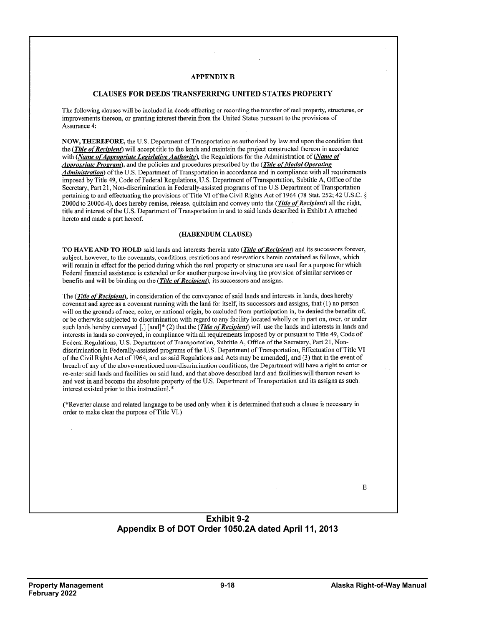#### **APPENDIX B**

#### **CLAUSES FOR DEEDS TRANSFERRING UNITED STATES PROPERTY**

The following clauses will be included in deeds effecting or recording the transfer of real property, structures, or improvements thereon, or granting interest therein from the United States pursuant to the provisions of Assurance 4:

NOW, THEREFORE, the U.S. Department of Transportation as authorized by law and upon the condition that the (Title of Recipient) will accept title to the lands and maintain the project constructed thereon in accordance with (Name of Appropriate Legislative Authority), the Regulations for the Administration of (Name of Appropriate Program), and the policies and procedures prescribed by the (Title of Modal Operating Administration) of the U.S. Department of Transportation in accordance and in compliance with all requirements imposed by Title 49, Code of Federal Regulations, U.S. Department of Transportation, Subtitle A, Office of the Secretary, Part 21, Non-discrimination in Federally-assisted programs of the U.S Department of Transportation pertaining to and effectuating the provisions of Title VI of the Civil Rights Act of 1964 (78 Stat. 252; 42 U.S.C. § 2000d to 2000d-4), does hereby remise, release, quitclaim and convey unto the (Title of Recipient) all the right, title and interest of the U.S. Department of Transportation in and to said lands described in Exhibit A attached hereto and made a part hereof.

#### (HABENDUM CLAUSE)

TO HAVE AND TO HOLD said lands and interests therein unto (Title of Recipient) and its successors forever, subject, however, to the covenants, conditions, restrictions and reservations herein contained as follows, which will remain in effect for the period during which the real property or structures are used for a purpose for which Federal financial assistance is extended or for another purpose involving the provision of similar services or benefits and will be binding on the (Title of Recipient), its successors and assigns.

The (Title of Recipient), in consideration of the conveyance of said lands and interests in lands, does hereby covenant and agree as a covenant running with the land for itself, its successors and assigns, that (1) no person will on the grounds of race, color, or national origin, be excluded from participation in, be denied the benefits of, or be otherwise subjected to discrimination with regard to any facility located wholly or in part on, over, or under such lands hereby conveyed [,] [and]\* (2) that the (*Title of Recipient*) will use the lands and interests in lands and interests in lands so conveyed, in compliance with all requirements imposed by or pursuant to Title 49, Code of Federal Regulations, U.S. Department of Transportation, Subtitle A, Office of the Secretary, Part 21, Nondiscrimination in Federally-assisted programs of the U.S. Department of Transportation, Effectuation of Title VI of the Civil Rights Act of 1964, and as said Regulations and Acts may be amended[, and (3) that in the event of breach of any of the above-mentioned non-discrimination conditions, the Department will have a right to enter or re-enter said lands and facilities on said land, and that above described land and facilities will thereon revert to and vest in and become the absolute property of the U.S. Department of Transportation and its assigns as such interest existed prior to this instruction].\*

(\*Reverter clause and related language to be used only when it is determined that such a clause is necessary in order to make clear the purpose of Title VI.)

 $\mathbf B$ 

#### **Exhibit 9-2 Appendix B of DOT Order 1050.2A dated April 11, 2013**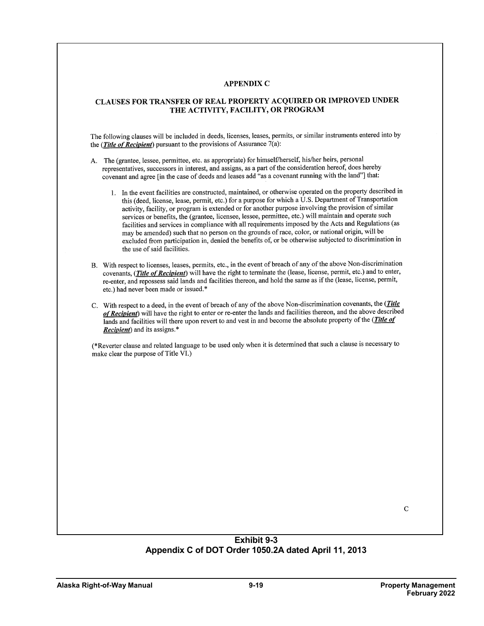#### APPENDIX C

#### CLAUSES FOR TRANSFER OF REAL PROPERTY ACQUIRED OR IMPROVED UNDER THE ACTIVITY, FACILITY, OR PROGRAM

The following clauses will be included in deeds, licenses, leases, permits, or similar instruments entered into by the (*Title of Recipient*) pursuant to the provisions of Assurance  $7(a)$ :

- A. The (grantee, lessee, permittee, etc. as appropriate) for himself/herself, his/her heirs, personal representatives, successors in interest, and assigns, as a part of the consideration hereof, does hereby covenant and agree [in the case of deeds and leases add "as a covenant running with the land"] that:
	- 1. In the event facilities are constructed, maintained, or otherwise operated on the property described in this (deed, license, lease, permit, etc.) for a purpose for which a U.S. Department of Transportation activity, facility, or program is extended or for another purpose involving the provision of similar services or benefits, the (grantee, licensee, lessee, permittee, etc.) will maintain and operate such facilities and services in compliance with all requirements imposed by the Acts and Regulations (as may be amended) such that no person on the grounds of race, color, or national origin, will be excluded from participation in, denied the benefits of, or be otherwise subjected to discrimination in the use of said facilities.
- B. With respect to licenses, leases, permits, etc., in the event of breach of any of the above Non-discrimination covenants, (Title of Recipient) will have the right to terminate the (lease, license, permit, etc.) and to enter, re-enter, and repossess said lands and facilities thereon, and hold the same as if the (lease, license, permit, etc.) had never been made or issued.\*
- C. With respect to a deed, in the event of breach of any of the above Non-discrimination covenants, the (Title of Recipient) will have the right to enter or re-enter the lands and facilities thereon, and the above described lands and facilities will there upon revert to and vest in and become the absolute property of the (*Title of* Recipient) and its assigns.\*

(\*Reverter clause and related language to be used only when it is determined that such a clause is necessary to make clear the purpose of Title VI.)

#### **Exhibit 9-3 Appendix C of DOT Order 1050.2A dated April 11, 2013**